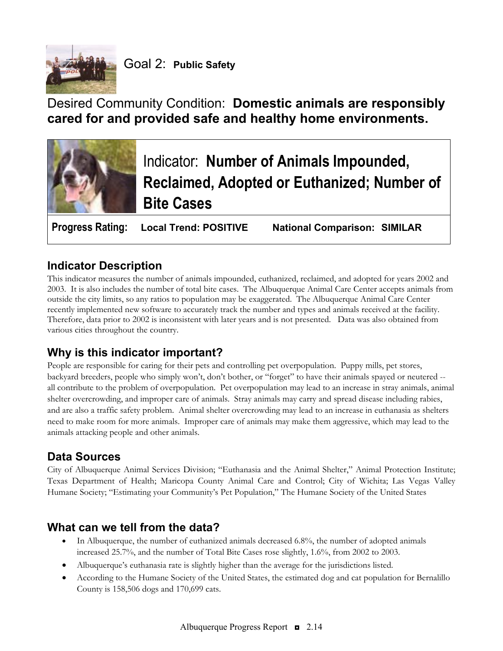

# Desired Community Condition: **Domestic animals are responsibly cared for and provided safe and healthy home environments.**



### **Indicator Description**

This indicator measures the number of animals impounded, euthanized, reclaimed, and adopted for years 2002 and 2003. It is also includes the number of total bite cases. The Albuquerque Animal Care Center accepts animals from outside the city limits, so any ratios to population may be exaggerated. The Albuquerque Animal Care Center recently implemented new software to accurately track the number and types and animals received at the facility. Therefore, data prior to 2002 is inconsistent with later years and is not presented. Data was also obtained from various cities throughout the country.

## **Why is this indicator important?**

People are responsible for caring for their pets and controlling pet overpopulation. Puppy mills, pet stores, backyard breeders, people who simply won't, don't bother, or "forget" to have their animals spayed or neutered - all contribute to the problem of overpopulation. Pet overpopulation may lead to an increase in stray animals, animal shelter overcrowding, and improper care of animals. Stray animals may carry and spread disease including rabies, and are also a traffic safety problem. Animal shelter overcrowding may lead to an increase in euthanasia as shelters need to make room for more animals. Improper care of animals may make them aggressive, which may lead to the animals attacking people and other animals.

### **Data Sources**

City of Albuquerque Animal Services Division; "Euthanasia and the Animal Shelter," Animal Protection Institute; Texas Department of Health; Maricopa County Animal Care and Control; City of Wichita; Las Vegas Valley Humane Society; "Estimating your Community's Pet Population," The Humane Society of the United States

### **What can we tell from the data?**

- In Albuquerque, the number of euthanized animals decreased 6.8%, the number of adopted animals increased 25.7%, and the number of Total Bite Cases rose slightly, 1.6%, from 2002 to 2003.
- Albuquerque's euthanasia rate is slightly higher than the average for the jurisdictions listed.
- According to the Humane Society of the United States, the estimated dog and cat population for Bernalillo County is 158,506 dogs and 170,699 cats.